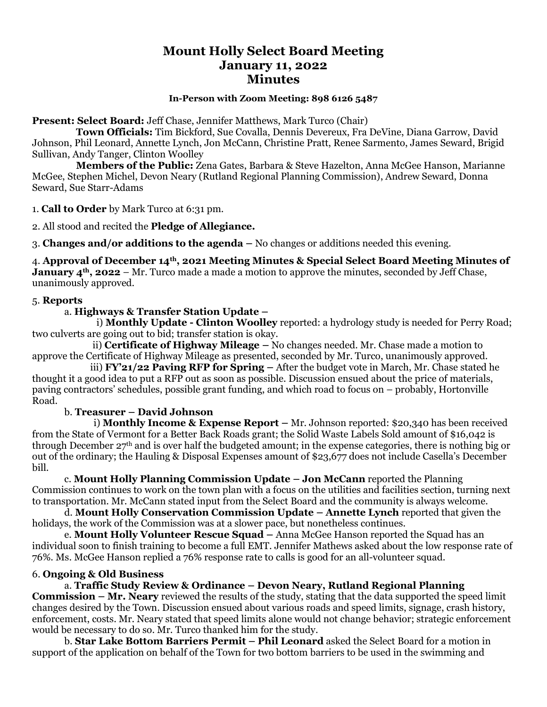# **Mount Holly Select Board Meeting January 11, 2022 Minutes**

#### **In-Person with Zoom Meeting: 898 6126 5487**

**Present: Select Board:** Jeff Chase, Jennifer Matthews, Mark Turco (Chair)

 **Town Officials:** Tim Bickford, Sue Covalla, Dennis Devereux, Fra DeVine, Diana Garrow, David Johnson, Phil Leonard, Annette Lynch, Jon McCann, Christine Pratt, Renee Sarmento, James Seward, Brigid Sullivan, Andy Tanger, Clinton Woolley

 **Members of the Public:** Zena Gates, Barbara & Steve Hazelton, Anna McGee Hanson, Marianne McGee, Stephen Michel, Devon Neary (Rutland Regional Planning Commission), Andrew Seward, Donna Seward, Sue Starr-Adams

1. **Call to Order** by Mark Turco at 6:31 pm.

2. All stood and recited the **Pledge of Allegiance.**

3. **Changes and/or additions to the agenda –** No changes or additions needed this evening.

4. **Approval of December 14th, 2021 Meeting Minutes & Special Select Board Meeting Minutes of January 4th, 2022** – Mr. Turco made a made a motion to approve the minutes, seconded by Jeff Chase, unanimously approved.

#### 5. **Reports**

# a. **Highways & Transfer Station Update –**

i) **Monthly Update - Clinton Woolley** reported: a hydrology study is needed for Perry Road; two culverts are going out to bid; transfer station is okay.

 ii) **Certificate of Highway Mileage –** No changes needed. Mr. Chase made a motion to approve the Certificate of Highway Mileage as presented, seconded by Mr. Turco, unanimously approved.

 iii) **FY'21/22 Paving RFP for Spring –** After the budget vote in March, Mr. Chase stated he thought it a good idea to put a RFP out as soon as possible. Discussion ensued about the price of materials, paving contractors' schedules, possible grant funding, and which road to focus on – probably, Hortonville Road.

# b. **Treasurer – David Johnson**

 i) **Monthly Income & Expense Report –** Mr. Johnson reported: \$20,340 has been received from the State of Vermont for a Better Back Roads grant; the Solid Waste Labels Sold amount of \$16,042 is through December  $27<sup>th</sup>$  and is over half the budgeted amount; in the expense categories, there is nothing big or out of the ordinary; the Hauling & Disposal Expenses amount of \$23,677 does not include Casella's December bill.

c. **Mount Holly Planning Commission Update – Jon McCann** reported the Planning Commission continues to work on the town plan with a focus on the utilities and facilities section, turning next to transportation. Mr. McCann stated input from the Select Board and the community is always welcome.

d. **Mount Holly Conservation Commission Update – Annette Lynch** reported that given the holidays, the work of the Commission was at a slower pace, but nonetheless continues.

e. **Mount Holly Volunteer Rescue Squad –** Anna McGee Hanson reported the Squad has an individual soon to finish training to become a full EMT. Jennifer Mathews asked about the low response rate of 76%. Ms. McGee Hanson replied a 76% response rate to calls is good for an all-volunteer squad.

# 6. **Ongoing & Old Business**

a. **Traffic Study Review & Ordinance – Devon Neary, Rutland Regional Planning** 

**Commission – Mr. Neary** reviewed the results of the study, stating that the data supported the speed limit changes desired by the Town. Discussion ensued about various roads and speed limits, signage, crash history, enforcement, costs. Mr. Neary stated that speed limits alone would not change behavior; strategic enforcement would be necessary to do so. Mr. Turco thanked him for the study.

b. **Star Lake Bottom Barriers Permit – Phil Leonard** asked the Select Board for a motion in support of the application on behalf of the Town for two bottom barriers to be used in the swimming and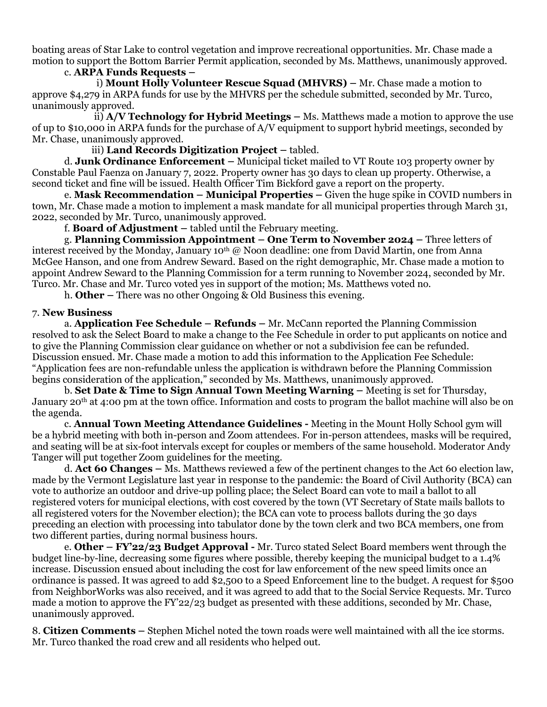boating areas of Star Lake to control vegetation and improve recreational opportunities. Mr. Chase made a motion to support the Bottom Barrier Permit application, seconded by Ms. Matthews, unanimously approved.

c. **ARPA Funds Requests –**

i) **Mount Holly Volunteer Rescue Squad (MHVRS) –** Mr. Chase made a motion to approve \$4,279 in ARPA funds for use by the MHVRS per the schedule submitted, seconded by Mr. Turco, unanimously approved.

ii) **A/V Technology for Hybrid Meetings –** Ms. Matthews made a motion to approve the use of up to \$10,000 in ARPA funds for the purchase of A/V equipment to support hybrid meetings, seconded by Mr. Chase, unanimously approved.

iii) **Land Records Digitization Project –** tabled.

d. **Junk Ordinance Enforcement –** Municipal ticket mailed to VT Route 103 property owner by Constable Paul Faenza on January 7, 2022. Property owner has 30 days to clean up property. Otherwise, a second ticket and fine will be issued. Health Officer Tim Bickford gave a report on the property.

e. **Mask Recommendation – Municipal Properties –** Given the huge spike in COVID numbers in town, Mr. Chase made a motion to implement a mask mandate for all municipal properties through March 31, 2022, seconded by Mr. Turco, unanimously approved.

f. **Board of Adjustment –** tabled until the February meeting.

g. **Planning Commission Appointment – One Term to November 2024 –** Three letters of interest received by the Monday, January 10<sup>th</sup> @ Noon deadline: one from David Martin, one from Anna McGee Hanson, and one from Andrew Seward. Based on the right demographic, Mr. Chase made a motion to appoint Andrew Seward to the Planning Commission for a term running to November 2024, seconded by Mr. Turco. Mr. Chase and Mr. Turco voted yes in support of the motion; Ms. Matthews voted no.

h. **Other –** There was no other Ongoing & Old Business this evening.

#### 7. **New Business**

a. **Application Fee Schedule – Refunds –** Mr. McCann reported the Planning Commission resolved to ask the Select Board to make a change to the Fee Schedule in order to put applicants on notice and to give the Planning Commission clear guidance on whether or not a subdivision fee can be refunded. Discussion ensued. Mr. Chase made a motion to add this information to the Application Fee Schedule: "Application fees are non-refundable unless the application is withdrawn before the Planning Commission begins consideration of the application," seconded by Ms. Matthews, unanimously approved.

b. **Set Date & Time to Sign Annual Town Meeting Warning –** Meeting is set for Thursday, January 20th at 4:00 pm at the town office. Information and costs to program the ballot machine will also be on the agenda.

c. **Annual Town Meeting Attendance Guidelines -** Meeting in the Mount Holly School gym will be a hybrid meeting with both in-person and Zoom attendees. For in-person attendees, masks will be required, and seating will be at six-foot intervals except for couples or members of the same household. Moderator Andy Tanger will put together Zoom guidelines for the meeting.

d. **Act 60 Changes –** Ms. Matthews reviewed a few of the pertinent changes to the Act 60 election law, made by the Vermont Legislature last year in response to the pandemic: the Board of Civil Authority (BCA) can vote to authorize an outdoor and drive-up polling place; the Select Board can vote to mail a ballot to all registered voters for municipal elections, with cost covered by the town (VT Secretary of State mails ballots to all registered voters for the November election); the BCA can vote to process ballots during the 30 days preceding an election with processing into tabulator done by the town clerk and two BCA members, one from two different parties, during normal business hours.

e. **Other – FY'22/23 Budget Approval -** Mr. Turco stated Select Board members went through the budget line-by-line, decreasing some figures where possible, thereby keeping the municipal budget to a 1.4% increase. Discussion ensued about including the cost for law enforcement of the new speed limits once an ordinance is passed. It was agreed to add \$2,500 to a Speed Enforcement line to the budget. A request for \$500 from NeighborWorks was also received, and it was agreed to add that to the Social Service Requests. Mr. Turco made a motion to approve the FY'22/23 budget as presented with these additions, seconded by Mr. Chase, unanimously approved.

8. **Citizen Comments –** Stephen Michel noted the town roads were well maintained with all the ice storms. Mr. Turco thanked the road crew and all residents who helped out.